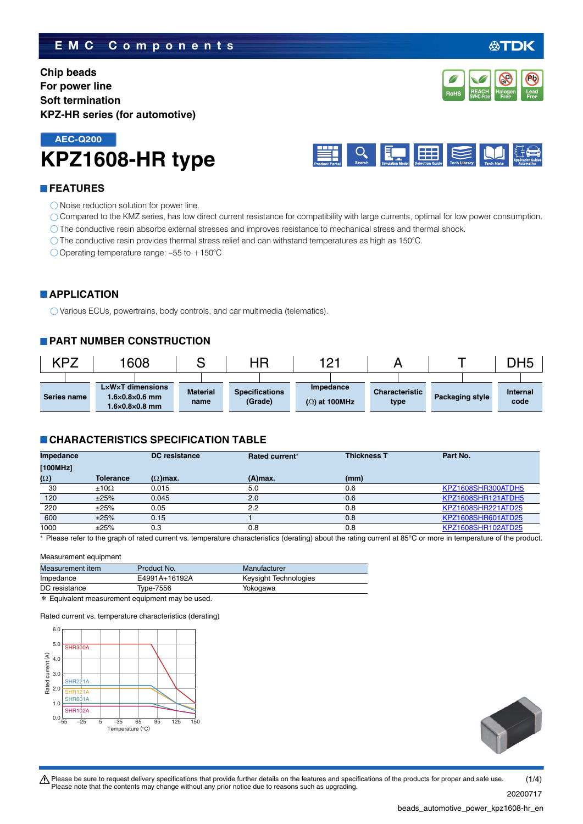### **EMC Components**

**Chip beads For power line Soft termination KPZ-HR series (for automotive)**

## **KPZ1608-HR type AEC-Q200**



### **FEATURES**

- O Noise reduction solution for power line.
- Compared to the KMZ series, has low direct current resistance for compatibility with large currents, optimal for low power consumption.
- The conductive resin absorbs external stresses and improves resistance to mechanical stress and thermal shock.
- The conductive resin provides thermal stress relief and can withstand temperatures as high as 150°C.

O Operating temperature range:  $-55$  to  $+150^{\circ}$ C

### **APPLICATION**

Various ECUs, powertrains, body controls, and car multimedia (telematics).

### **PART NUMBER CONSTRUCTION**

| KPZ |             | 1608                                                                                         |                         | ΗR                               | 1 Q 1<br><u>_</u>                 |                               |                        | DH5              |
|-----|-------------|----------------------------------------------------------------------------------------------|-------------------------|----------------------------------|-----------------------------------|-------------------------------|------------------------|------------------|
|     | Series name | $L \times W \times T$ dimensions<br>$1.6\times0.8\times0.6$ mm<br>$1.6\times0.8\times0.8$ mm | <b>Material</b><br>name | <b>Specifications</b><br>(Grade) | Impedance<br>$(\Omega)$ at 100MHz | <b>Characteristic</b><br>type | <b>Packaging style</b> | Internal<br>code |

### **CHARACTERISTICS SPECIFICATION TABLE**

| Impedance  |                  | DC resistance   | <b>Rated current*</b> | <b>Thickness T</b> | Part No.           |
|------------|------------------|-----------------|-----------------------|--------------------|--------------------|
| [100MHz]   |                  |                 |                       |                    |                    |
| $(\Omega)$ | <b>Tolerance</b> | $(\Omega)$ max. | $(A)$ max.            | (mm)               |                    |
| 30         | $±10\Omega$      | 0.015           | 5.0                   | 0.6                | KPZ1608SHR300ATDH5 |
| 120        | ±25%             | 0.045           | 2.0                   | 0.6                | KPZ1608SHR121ATDH5 |
| 220        | ±25%             | 0.05            | 2.2                   | 0.8                | KPZ1608SHR221ATD25 |
| 600        | ±25%             | 0.15            |                       | 0.8                | KPZ1608SHR601ATD25 |
| 1000       | ±25%             | 0.3             | 0.8                   | 0.8                | KPZ1608SHR102ATD25 |

\* Please refer to the graph of rated current vs. temperature characteristics (derating) about the rating current at 85°C or more in temperature of the product.

### Measurement equipment

| Measurement item | Product No.   | Manufacturer          |
|------------------|---------------|-----------------------|
| Impedance        | E4991A+16192A | Keysight Technologies |
| DC resistance    | Type-7556     | Yokogawa              |
| .                |               |                       |

\* Equivalent measurement equipment may be used.

Rated current vs. temperature characteristics (derating)





t Please be sure to request delivery specifications that provide further details on the features and specifications of the products for proper and safe use. Please note that the contents may change without any prior notice due to reasons such as upgrading.  $(1/4)$ 

20200717

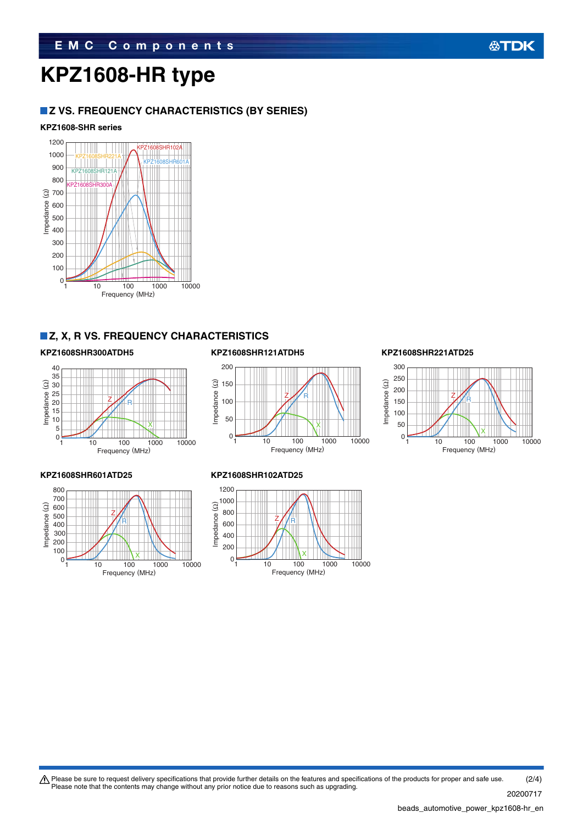# **KPZ1608-HR type**

### **Z VS. FREQUENCY CHARACTERISTICS (BY SERIES)**

### **KPZ1608-SHR series**



### **Z, X, R VS. FREQUENCY CHARACTERISTICS**



### **KPZ1608SHR300ATDH5 KPZ1608SHR121ATDH5 KPZ1608SHR221ATD25**





**公TDK** 





### **KPZ1608SHR601ATD25 KPZ1608SHR102ATD25**



Please be sure to request delivery specifications that provide further details on the features and specifications of the products for proper and safe use.<br>Please note that the contents may change without any prior notice d (2/4)

20200717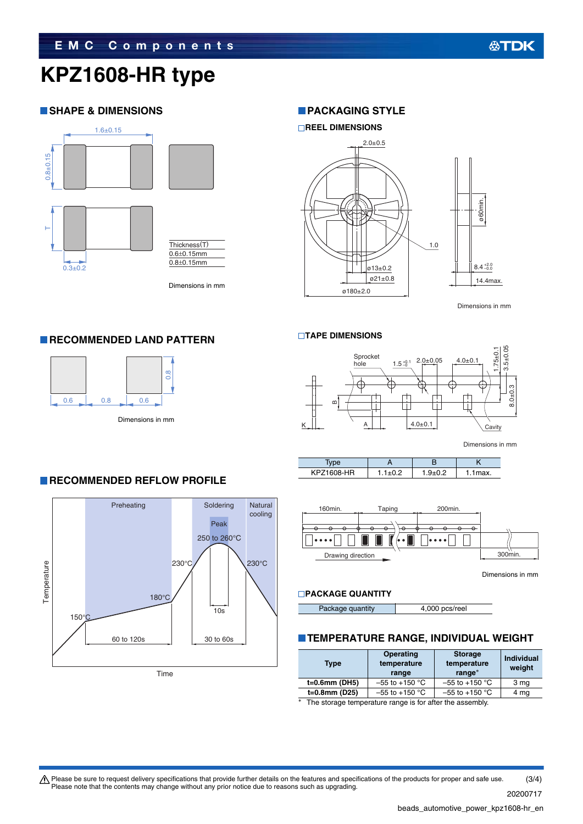# **KPZ1608-HR type**

### **SHAPE & DIMENSIONS**



**RECOMMENDED LAND PATTERN** 

 $0.6$  0.8  $\bigcup$  0.6

Dimensions in mm

0.8

### **PACKAGING STYLE**



Dimensions in mm

### **TAPE DIMENSIONS**



Dimensions in mm

| <b><pz1608-hr< b=""><br/>KPZ</pz1608-hr<></b> | $Q + Q$ | ۱ax. |
|-----------------------------------------------|---------|------|



Dimensions in mm

### **PACKAGE QUANTITY**

Package quantity **4,000 pcs/reel** 

### **TEMPERATURE RANGE, INDIVIDUAL WEIGHT**

| Type          | <b>Operating</b><br>temperature<br>range | <b>Storage</b><br>temperature<br>range* | <b>Individual</b><br>weight |
|---------------|------------------------------------------|-----------------------------------------|-----------------------------|
| t=0.6mm (DH5) | $-55$ to $+150$ °C                       | $-55$ to +150 °C                        | 3 mg                        |
| t=0.8mm (D25) | $-55$ to $+150$ °C                       | $-55$ to +150 °C                        | 4 mg                        |
| $\sim$        |                                          |                                         |                             |

The storage temperature range is for after the assembly.

### **RECOMMENDED REFLOW PROFILE**

Dimensions in mm



 $\bigwedge$  Please be sure to request delivery specifications that provide further details on the features and specifications of the products for proper and safe use. Please note that the contents may change without any prior notice due to reasons such as upgrading. (3/4)